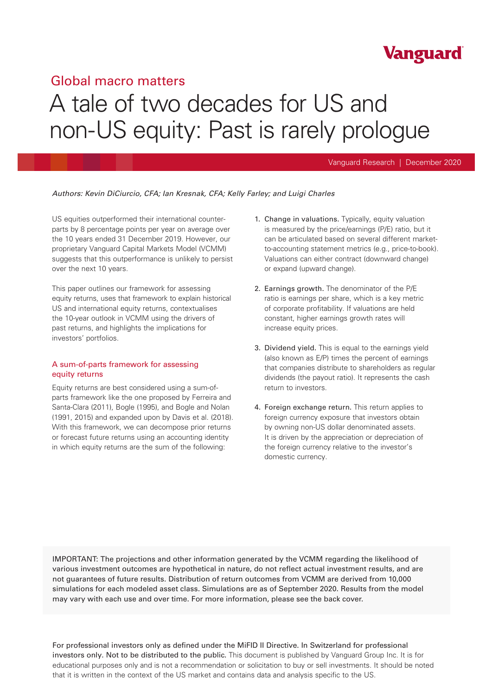## Global macro matters

# A tale of two decades for US and non-US equity: Past is rarely prologue

## Vanguard Research | December 2020

Vanguard

## *Authors: Kevin DiCiurcio, CFA; Ian Kresnak, CFA; Kelly Farley; and Luigi Charles*

US equities outperformed their international counterparts by 8 percentage points per year on average over the 10 years ended 31 December 2019. However, our proprietary Vanguard Capital Markets Model (VCMM) suggests that this outperformance is unlikely to persist over the next 10 years.

This paper outlines our framework for assessing equity returns, uses that framework to explain historical US and international equity returns, contextualises the 10-year outlook in VCMM using the drivers of past returns, and highlights the implications for investors' portfolios.

## A sum-of-parts framework for assessing equity returns

Equity returns are best considered using a sum-ofparts framework like the one proposed by Ferreira and Santa-Clara (2011), Bogle (1995), and Bogle and Nolan (1991, 2015) and expanded upon by Davis et al. (2018). With this framework, we can decompose prior returns or forecast future returns using an accounting identity in which equity returns are the sum of the following:

- 1. Change in valuations. Typically, equity valuation is measured by the price/earnings (P/E) ratio, but it can be articulated based on several different marketto-accounting statement metrics (e.g., price-to-book). Valuations can either contract (downward change) or expand (upward change).
- 2. Earnings growth. The denominator of the P/E ratio is earnings per share, which is a key metric of corporate profitability. If valuations are held constant, higher earnings growth rates will increase equity prices.
- 3. Dividend yield. This is equal to the earnings yield (also known as E/P) times the percent of earnings that companies distribute to shareholders as regular dividends (the payout ratio). It represents the cash return to investors.
- 4. Foreign exchange return. This return applies to foreign currency exposure that investors obtain by owning non-US dollar denominated assets. It is driven by the appreciation or depreciation of the foreign currency relative to the investor's domestic currency.

IMPORTANT: The projections and other information generated by the VCMM regarding the likelihood of various investment outcomes are hypothetical in nature, do not reflect actual investment results, and are not guarantees of future results. Distribution of return outcomes from VCMM are derived from 10,000 simulations for each modeled asset class. Simulations are as of September 2020. Results from the model may vary with each use and over time. For more information, please see the back cover.

For professional investors only as defined under the MiFID II Directive. In Switzerland for professional investors only. Not to be distributed to the public. This document is published by Vanguard Group Inc. It is for educational purposes only and is not a recommendation or solicitation to buy or sell investments. It should be noted that it is written in the context of the US market and contains data and analysis specific to the US.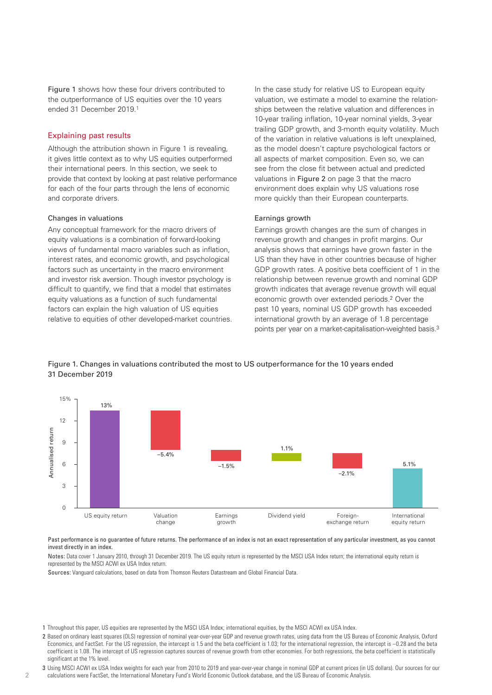Figure 1 shows how these four drivers contributed to the outperformance of US equities over the 10 years ended 31 December 2019.1

## Explaining past results

Although the attribution shown in Figure 1 is revealing, it gives little context as to why US equities outperformed their international peers. In this section, we seek to provide that context by looking at past relative performance for each of the four parts through the lens of economic and corporate drivers.

## Changes in valuations

Any conceptual framework for the macro drivers of equity valuations is a combination of forward-looking views of fundamental macro variables such as inflation, interest rates, and economic growth, and psychological factors such as uncertainty in the macro environment and investor risk aversion. Though investor psychology is difficult to quantify, we find that a model that estimates equity valuations as a function of such fundamental factors can explain the high valuation of US equities relative to equities of other developed-market countries. In the case study for relative US to European equity valuation, we estimate a model to examine the relationships between the relative valuation and differences in 10-year trailing inflation, 10-year nominal yields, 3-year trailing GDP growth, and 3-month equity volatility. Much of the variation in relative valuations is left unexplained, as the model doesn't capture psychological factors or all aspects of market composition. Even so, we can see from the close fit between actual and predicted valuations in Figure 2 on page 3 that the macro environment does explain why US valuations rose more quickly than their European counterparts.

## Earnings growth

Earnings growth changes are the sum of changes in revenue growth and changes in profit margins. Our analysis shows that earnings have grown faster in the US than they have in other countries because of higher GDP growth rates. A positive beta coefficient of 1 in the relationship between revenue growth and nominal GDP growth indicates that average revenue growth will equal economic growth over extended periods.2 Over the past 10 years, nominal US GDP growth has exceeded international growth by an average of 1.8 percentage points per year on a market-capitalisation-weighted basis.3





Past performance is no guarantee of future returns. The performance of an index is not an exact representation of any particular investment, as you cannot invest directly in an index.

Notes: Data cover 1 January 2010, through 31 December 2019. The US equity return is represented by the MSCI USA Index return; the international equity return is represented by the MSCI ACWI ex USA Index return.

Sources: Vanguard calculations, based on data from Thomson Reuters Datastream and Global Financial Data.

- 1 Throughout this paper, US equities are represented by the MSCI USA Index; international equities, by the MSCI ACWI ex USA Index.
- 2 Based on ordinary least squares (OLS) regression of nominal year-over-year GDP and revenue growth rates, using data from the US Bureau of Economic Analysis, Oxford Economics, and FactSet. For the US regression, the intercept is 1.5 and the beta coefficient is 1.03; for the international regression, the intercept is –0.28 and the beta coefficient is 1.08. The intercept of US regression captures sources of revenue growth from other economies. For both regressions, the beta coefficient is statistically significant at the 1% level.
- 3 Using MSCI ACWI ex USA Index weights for each year from 2010 to 2019 and year-over-year change in nominal GDP at current prices (in US dollars). Our sources for our calculations were FactSet, the International Monetary Fund's World Economic Outlook database, and the US Bureau of Economic Analysis.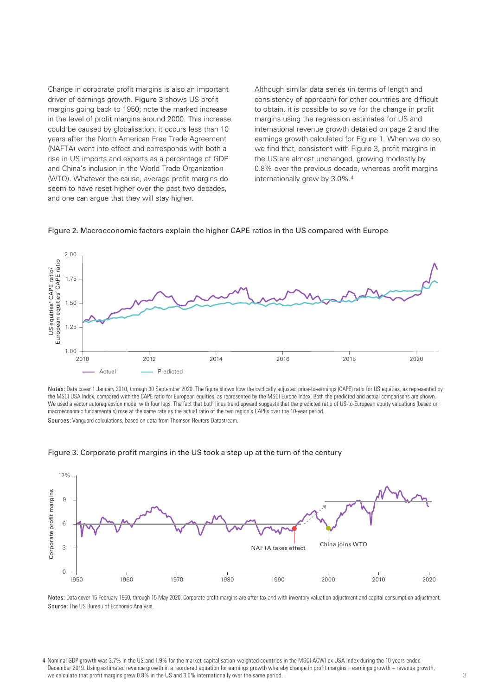Change in corporate profit margins is also an important driver of earnings growth. Figure 3 shows US profit margins going back to 1950; note the marked increase in the level of profit margins around 2000. This increase could be caused by globalisation; it occurs less than 10 years after the North American Free Trade Agreement (NAFTA) went into effect and corresponds with both a rise in US imports and exports as a percentage of GDP and China's inclusion in the World Trade Organization (WTO). Whatever the cause, average profit margins do seem to have reset higher over the past two decades, and one can argue that they will stay higher.

Although similar data series (in terms of length and consistency of approach) for other countries are difficult to obtain, it is possible to solve for the change in profit margins using the regression estimates for US and international revenue growth detailed on page 2 and the earnings growth calculated for Figure 1. When we do so, we find that, consistent with Figure 3, profit margins in the US are almost unchanged, growing modestly by 0.8% over the previous decade, whereas profit margins internationally grew by 3.0%.4



Figure 2. Macroeconomic factors explain the higher CAPE ratios in the US compared with Europe

Notes: Data cover 1 January 2010, through 30 September 2020. The figure shows how the cyclically adjusted price-to-earnings (CAPE) ratio for US equities, as represented by the MSCI USA Index, compared with the CAPE ratio for European equities, as represented by the MSCI Europe Index. Both the predicted and actual comparisons are shown. We used a vector autoregression model with four lags. The fact that both lines trend upward suggests that the predicted ratio of US-to-European equity valuations (based on macroeconomic fundamentals) rose at the same rate as the actual ratio of the two region's CAPEs over the 10-year period.



Figure 3. Corporate profit margins in the US took a step up at the turn of the century

Notes: Data cover 15 February 1950, through 15 May 2020. Corporate profit margins are after tax and with inventory valuation adjustment and capital consumption adjustment. Source: The US Bureau of Economic Analysis.

<sup>4</sup> Nominal GDP growth was 3.7% in the US and 1.9% for the market-capitalisation-weighted countries in the MSCI ACWI ex USA Index during the 10 years ended December 2019. Using estimated revenue growth in a reordered equation for earnings growth whereby change in profit margins = earnings growth – revenue growth, we calculate that profit margins grew 0.8% in the US and 3.0% internationally over the same period.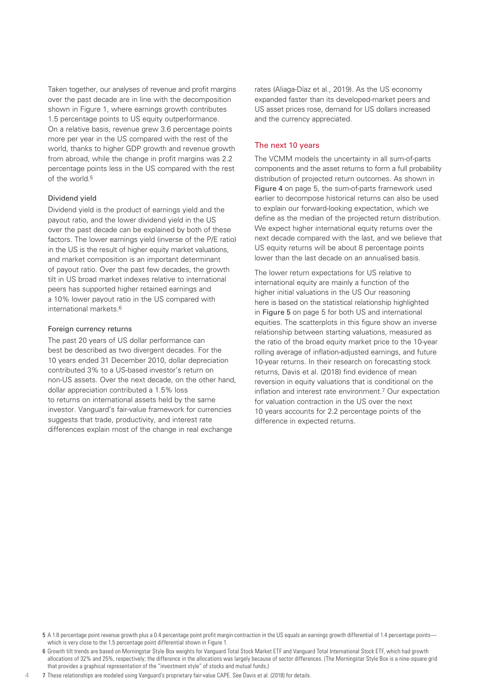Taken together, our analyses of revenue and profit margins over the past decade are in line with the decomposition shown in Figure 1, where earnings growth contributes 1.5 percentage points to US equity outperformance. On a relative basis, revenue grew 3.6 percentage points more per year in the US compared with the rest of the world, thanks to higher GDP growth and revenue growth from abroad, while the change in profit margins was 2.2 percentage points less in the US compared with the rest of the world.5

## Dividend yield

Dividend yield is the product of earnings yield and the payout ratio, and the lower dividend yield in the US over the past decade can be explained by both of these factors. The lower earnings yield (inverse of the P/E ratio) in the US is the result of higher equity market valuations, and market composition is an important determinant of payout ratio. Over the past few decades, the growth tilt in US broad market indexes relative to international peers has supported higher retained earnings and a 10% lower payout ratio in the US compared with international markets.6

## Foreign currency returns

 $\Delta$ 

The past 20 years of US dollar performance can best be described as two divergent decades. For the 10 years ended 31 December 2010, dollar depreciation contributed 3% to a US-based investor's return on non-US assets. Over the next decade, on the other hand, dollar appreciation contributed a 1.5% loss to returns on international assets held by the same investor. Vanguard's fair-value framework for currencies suggests that trade, productivity, and interest rate differences explain most of the change in real exchange

rates (Aliaga-Díaz et al., 2019). As the US economy expanded faster than its developed-market peers and US asset prices rose, demand for US dollars increased and the currency appreciated.

## The next 10 years

The VCMM models the uncertainty in all sum-of-parts components and the asset returns to form a full probability distribution of projected return outcomes. As shown in Figure 4 on page 5, the sum-of-parts framework used earlier to decompose historical returns can also be used to explain our forward-looking expectation, which we define as the median of the projected return distribution. We expect higher international equity returns over the next decade compared with the last, and we believe that US equity returns will be about 8 percentage points lower than the last decade on an annualised basis.

The lower return expectations for US relative to international equity are mainly a function of the higher initial valuations in the US Our reasoning here is based on the statistical relationship highlighted in Figure 5 on page 5 for both US and international equities. The scatterplots in this figure show an inverse relationship between starting valuations, measured as the ratio of the broad equity market price to the 10-year rolling average of inflation-adjusted earnings, and future 10-year returns. In their research on forecasting stock returns, Davis et al. (2018) find evidence of mean reversion in equity valuations that is conditional on the inflation and interest rate environment.7 Our expectation for valuation contraction in the US over the next 10 years accounts for 2.2 percentage points of the difference in expected returns.

<sup>5</sup> A 1.8 percentage point revenue growth plus a 0.4 percentage point profit margin contraction in the US equals an earnings growth differential of 1.4 percentage points which is very close to the 1.5 percentage point differential shown in Figure 1.

<sup>6</sup> Growth tilt trends are based on Morningstar Style Box weights for Vanguard Total Stock Market ETF and Vanguard Total International Stock ETF, which had growth allocations of 32% and 25%, respectively; the difference in the allocations was largely because of sector differences. (The Morningstar Style Box is a nine-square grid that provides a graphical representation of the "investment style" of stocks and mutual funds.)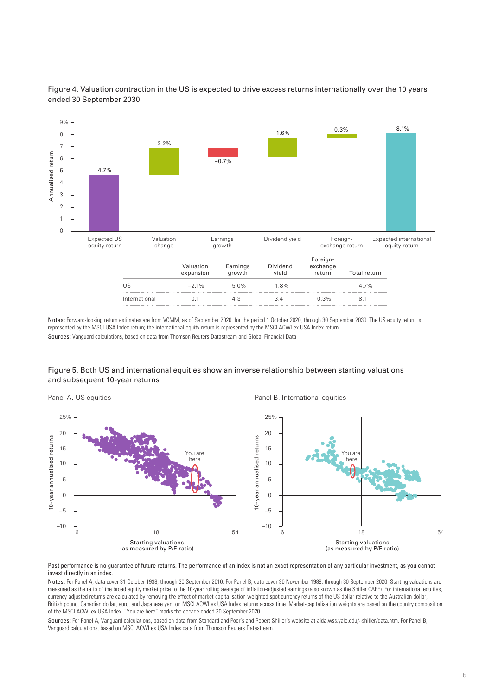

Figure 4. Valuation contraction in the US is expected to drive excess returns internationally over the 10 years ended 30 September 2030

Notes: Forward-looking return estimates are from VCMM, as of September 2020, for the period 1 October 2020, through 30 September 2030. The US equity return is represented by the MSCI USA Index return; the international equity return is represented by the MSCI ACWI ex USA Index return. Sources: Vanguard calculations, based on data from Thomson Reuters Datastream and Global Financial Data.

## Figure 5. Both US and international equities show an inverse relationship between starting valuations and subsequent 10-year returns

Panel A. US equities **Panel B. International equities** Panel B. International equities Vou are and the most of the December 2010. The performance of an index is the second of the MSCI ACWI ex USA Index data from Thomson Reuters Datastream.<br>
Margaret calculations, based on MSCI ACWI ex USA Index data from Th 6 18 You are here Starting valuations (as measured by P/E ratio) 54 –10 –5  $\Omega$ 5 10 15 20 25% 10-year annualised returns 6 18 'ou are here Starting valuations (as measured by P/E ratio) 54 –10 –5  $\Omega$ 5 10 15 20 25%

Past performance is no guarantee of future returns. The performance of an index is not an exact representation of any particular investment, as you cannot invest directly in an index.

Notes: For Panel A, data cover 31 October 1938, through 30 September 2010. For Panel B, data cover 30 November 1989, through 30 September 2020. Starting valuations are measured as the ratio of the broad equity market price to the 10-year rolling average of inflation-adjusted earnings (also known as the Shiller CAPE). For international equities, currency-adjusted returns are calculated by removing the effect of market-capitalisation-weighted spot currency returns of the US dollar relative to the Australian dollar, British pound, Canadian dollar, euro, and Japanese yen, on MSCI ACWI ex USA Index returns across time. Market-capitalisation weights are based on the country composition of the MSCI ACWI ex USA Index. "You are here" marks the decade ended 30 September 2020.

Sources: For Panel A, Vanguard calculations, based on data from Standard and Poor's and Robert Shiller's website at aida.wss.yale.edu/~shiller/data.htm. For Panel B,<br>Vanguard calculations, based on MSCI ACWI ex USA Index d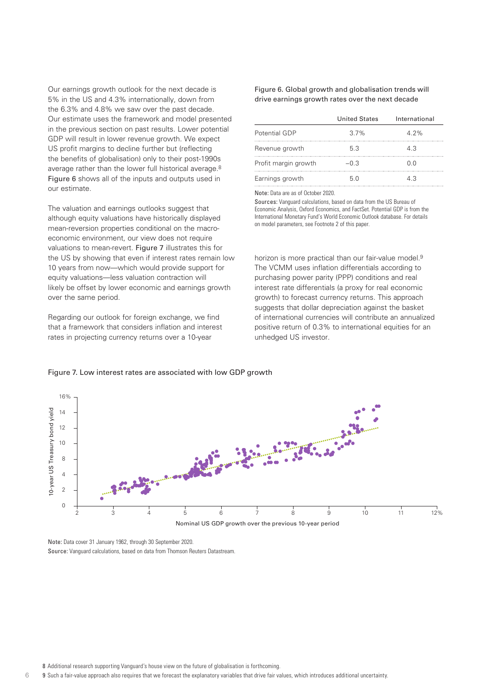Our earnings growth outlook for the next decade is 5% in the US and 4.3% internationally, down from the 6.3% and 4.8% we saw over the past decade. Our estimate uses the framework and model presented in the previous section on past results. Lower potential GDP will result in lower revenue growth. We expect US profit margins to decline further but (reflecting the benefits of globalisation) only to their post-1990s average rather than the lower full historical average.8 Figure 6 shows all of the inputs and outputs used in our estimate.

The valuation and earnings outlooks suggest that although equity valuations have historically displayed mean-reversion properties conditional on the macroeconomic environment, our view does not require valuations to mean-revert. Figure 7 illustrates this for the US by showing that even if interest rates remain low 10 years from now—which would provide support for equity valuations—less valuation contraction will likely be offset by lower economic and earnings growth over the same period.

Regarding our outlook for foreign exchange, we find that a framework that considers inflation and interest rates in projecting currency returns over a 10-year

## Figure 6. Global growth and globalisation trends will drive earnings growth rates over the next decade

|                      | <b>United States</b> | International |
|----------------------|----------------------|---------------|
| Potential GDP        | 37%                  | $4.2\%$       |
| Revenue growth       | 53                   | 43            |
| Profit margin growth | $-0.3$               | ი ი           |
| Earnings growth      | 50                   | 1 3           |

Note: Data are as of October 2020.

Sources: Vanguard calculations, based on data from the US Bureau of Economic Analysis, Oxford Economics, and FactSet. Potential GDP is from the International Monetary Fund's World Economic Outlook database. For details on model parameters, see Footnote 2 of this paper.

horizon is more practical than our fair-value model.<sup>9</sup> The VCMM uses inflation differentials according to purchasing power parity (PPP) conditions and real interest rate differentials (a proxy for real economic growth) to forecast currency returns. This approach suggests that dollar depreciation against the basket of international currencies will contribute an annualized positive return of 0.3% to international equities for an unhedged US investor.

## 16% 0-year US Treasury bond yield 10-year US Treasury bond yield 14 12 10 8 4  $\overline{2}$  $\overline{0}$  $\frac{1}{12\%}$ 2 3 4 5 6 7 8 9 10 11 Nominal US GDP growth over the previous 10-year period

## Figure 7. Low interest rates are associated with low GDP growth

Note: Data cover 31 January 1962, through 30 September 2020. Source: Vanguard calculations, based on data from Thomson Reuters Datastream.

6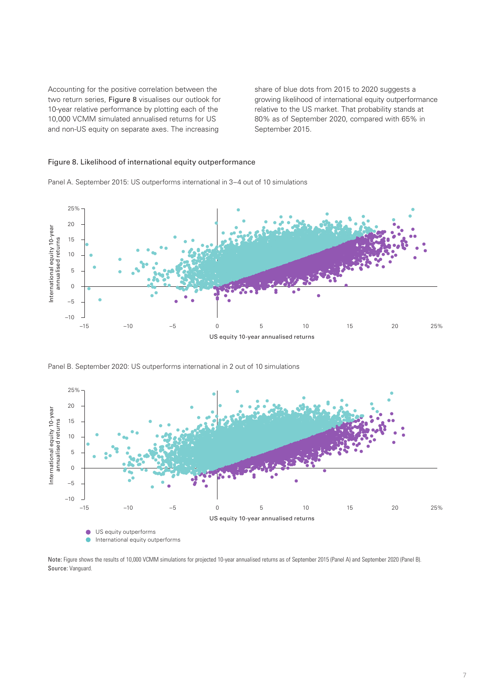Accounting for the positive correlation between the two return series, Figure 8 visualises our outlook for 10-year relative performance by plotting each of the 10,000 VCMM simulated annualised returns for US and non-US equity on separate axes. The increasing

share of blue dots from 2015 to 2020 suggests a growing likelihood of international equity outperformance relative to the US market. That probability stands at 80% as of September 2020, compared with 65% in September 2015.

## Figure 8. Likelihood of international equity outperformance





Panel B. September 2020: US outperforms international in 2 out of 10 simulations



Note: Figure shows the results of 10,000 VCMM simulations for projected 10-year annualised returns as of September 2015 (Panel A) and September 2020 (Panel B). Source: Vanguard.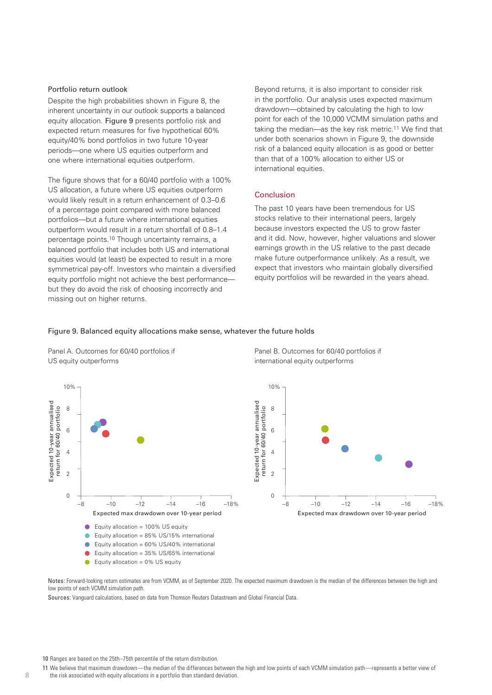## Portfolio return outlook

Despite the high probabilities shown in Figure 8, the inherent uncertainty in our outlook supports a balanced equity allocation. Figure 9 presents portfolio risk and expected return measures for five hypothetical 60% equity/40% bond portfolios in two future 10-year periods—one where US equities outperform and one where international equities outperform.

The figure shows that for a 60/40 portfolio with a 100% US allocation, a future where US equities outperform would likely result in a return enhancement of 0.3–0.6 of a percentage point compared with more balanced portfolios—but a future where international equities outperform would result in a return shortfall of 0.8–1.4 percentage points.10 Though uncertainty remains, a balanced portfolio that includes both US and international equities would (at least) be expected to result in a more symmetrical pay-off. Investors who maintain a diversified equity portfolio might not achieve the best performance but they do avoid the risk of choosing incorrectly and missing out on higher returns.

Beyond returns, it is also important to consider risk in the portfolio. Our analysis uses expected maximum drawdown—obtained by calculating the high to low point for each of the 10,000 VCMM simulation paths and taking the median—as the key risk metric.11 We find that under both scenarios shown in Figure 9, the downside risk of a balanced equity allocation is as good or better than that of a 100% allocation to either US or international equities.

## Conclusion

The past 10 years have been tremendous for US stocks relative to their international peers, largely because investors expected the US to grow faster and it did. Now, however, higher valuations and slower earnings growth in the US relative to the past decade make future outperformance unlikely. As a result, we expect that investors who maintain globally diversified equity portfolios will be rewarded in the years ahead.

## Figure 9. Balanced equity allocations make sense, whatever the future holds







Notes: Forward-looking return estimates are from VCMM, as of September 2020. The expected maximum drawdown is the median of the differences between the high and low points of each VCMM simulation path.

- 11 We believe that maximum drawdown—the median of the differences between the high and low points of each VCMM simulation path—represents a better view of
- the risk associated with equity allocations in a portfolio than standard deviation.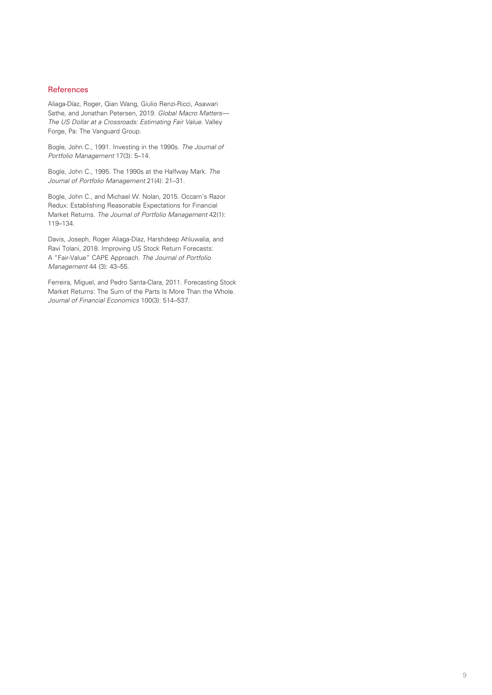## **References**

Aliaga-Díaz, Roger, Qian Wang, Giulio Renzi-Ricci, Asawari Sathe, and Jonathan Petersen, 2019. *Global Macro Matters— The US Dollar at a Crossroads: Estimating Fair Value*. Valley Forge, Pa: The Vanguard Group.

Bogle, John C., 1991. Investing in the 1990s. *The Journal of Portfolio Management* 17(3): 5–14.

Bogle, John C., 1995. The 1990s at the Halfway Mark. *The Journal of Portfolio Management* 21(4): 21–31.

Bogle, John C., and Michael W. Nolan, 2015. Occam's Razor Redux: Establishing Reasonable Expectations for Financial Market Returns. *The Journal of Portfolio Management* 42(1): 119–134.

Davis, Joseph, Roger Aliaga-Díaz, Harshdeep Ahluwalia, and Ravi Tolani, 2018. Improving US Stock Return Forecasts: A "Fair-Value" CAPE Approach. *The Journal of Portfolio Management* 44 (3): 43–55.

Ferreira, Miguel, and Pedro Santa-Clara, 2011. Forecasting Stock Market Returns: The Sum of the Parts Is More Than the Whole. *Journal of Financial Economics* 100(3): 514–537.